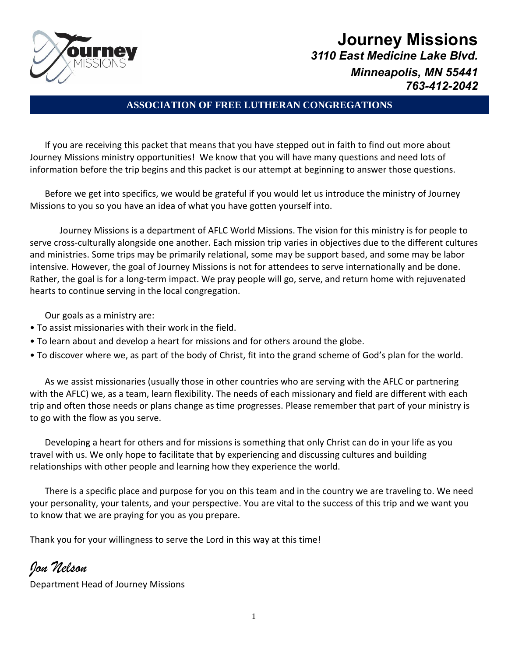

# **Journey Missions** *3110 East Medicine Lake Blvd. Minneapolis, MN 55441 763-412-2042*

## **ASSOCIATION OF FREE LUTHERAN CONGREGATIONS**

If you are receiving this packet that means that you have stepped out in faith to find out more about Journey Missions ministry opportunities! We know that you will have many questions and need lots of information before the trip begins and this packet is our attempt at beginning to answer those questions.

Before we get into specifics, we would be grateful if you would let us introduce the ministry of Journey Missions to you so you have an idea of what you have gotten yourself into.

Journey Missions is a department of AFLC World Missions. The vision for this ministry is for people to serve cross-culturally alongside one another. Each mission trip varies in objectives due to the different cultures and ministries. Some trips may be primarily relational, some may be support based, and some may be labor intensive. However, the goal of Journey Missions is not for attendees to serve internationally and be done. Rather, the goal is for a long-term impact. We pray people will go, serve, and return home with rejuvenated hearts to continue serving in the local congregation.

Our goals as a ministry are:

- To assist missionaries with their work in the field.
- To learn about and develop a heart for missions and for others around the globe.
- To discover where we, as part of the body of Christ, fit into the grand scheme of God's plan for the world.

As we assist missionaries (usually those in other countries who are serving with the AFLC or partnering with the AFLC) we, as a team, learn flexibility. The needs of each missionary and field are different with each trip and often those needs or plans change as time progresses. Please remember that part of your ministry is to go with the flow as you serve.

Developing a heart for others and for missions is something that only Christ can do in your life as you travel with us. We only hope to facilitate that by experiencing and discussing cultures and building relationships with other people and learning how they experience the world.

There is a specific place and purpose for you on this team and in the country we are traveling to. We need your personality, your talents, and your perspective. You are vital to the success of this trip and we want you to know that we are praying for you as you prepare.

Thank you for your willingness to serve the Lord in this way at this time!

# *Jon Nelson*

Department Head of Journey Missions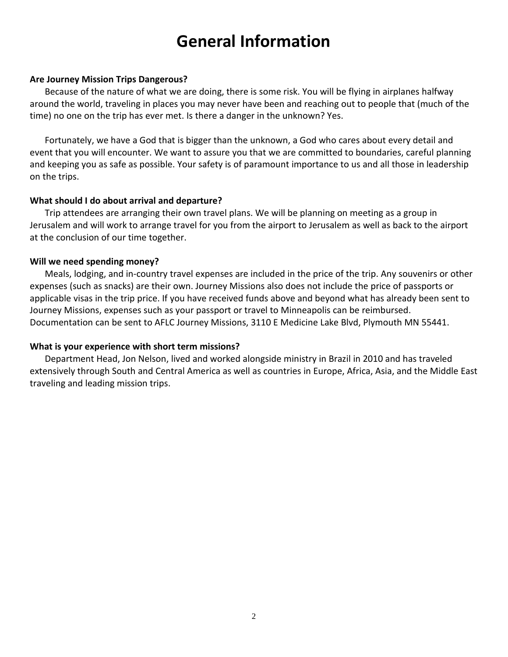# **General Information**

#### **Are Journey Mission Trips Dangerous?**

Because of the nature of what we are doing, there is some risk. You will be flying in airplanes halfway around the world, traveling in places you may never have been and reaching out to people that (much of the time) no one on the trip has ever met. Is there a danger in the unknown? Yes.

Fortunately, we have a God that is bigger than the unknown, a God who cares about every detail and event that you will encounter. We want to assure you that we are committed to boundaries, careful planning and keeping you as safe as possible. Your safety is of paramount importance to us and all those in leadership on the trips.

#### **What should I do about arrival and departure?**

Trip attendees are arranging their own travel plans. We will be planning on meeting as a group in Jerusalem and will work to arrange travel for you from the airport to Jerusalem as well as back to the airport at the conclusion of our time together.

#### **Will we need spending money?**

Meals, lodging, and in-country travel expenses are included in the price of the trip. Any souvenirs or other expenses (such as snacks) are their own. Journey Missions also does not include the price of passports or applicable visas in the trip price. If you have received funds above and beyond what has already been sent to Journey Missions, expenses such as your passport or travel to Minneapolis can be reimbursed. Documentation can be sent to AFLC Journey Missions, 3110 E Medicine Lake Blvd, Plymouth MN 55441.

### **What is your experience with short term missions?**

Department Head, Jon Nelson, lived and worked alongside ministry in Brazil in 2010 and has traveled extensively through South and Central America as well as countries in Europe, Africa, Asia, and the Middle East traveling and leading mission trips.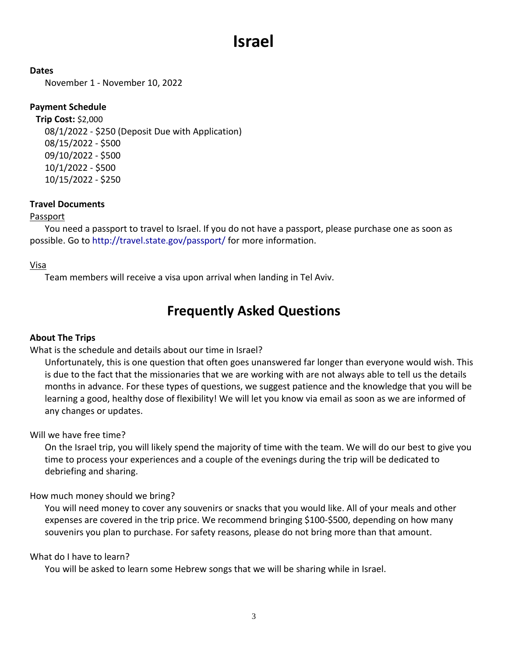# **Israel**

**Dates**

November 1 - November 10, 2022

## **Payment Schedule**

**Trip Cost:** \$2,000 08/1/2022 - \$250 (Deposit Due with Application) 08/15/2022 - \$500 09/10/2022 - \$500 10/1/2022 - \$500 10/15/2022 - \$250

### **Travel Documents**

### Passport

You need a passport to travel to Israel. If you do not have a passport, please purchase one as soon as possible. Go to http://travel.state.gov/passport/ for more information.

### Visa

Team members will receive a visa upon arrival when landing in Tel Aviv.

# **Frequently Asked Questions**

### **About The Trips**

What is the schedule and details about our time in Israel?

Unfortunately, this is one question that often goes unanswered far longer than everyone would wish. This is due to the fact that the missionaries that we are working with are not always able to tell us the details months in advance. For these types of questions, we suggest patience and the knowledge that you will be learning a good, healthy dose of flexibility! We will let you know via email as soon as we are informed of any changes or updates.

Will we have free time?

On the Israel trip, you will likely spend the majority of time with the team. We will do our best to give you time to process your experiences and a couple of the evenings during the trip will be dedicated to debriefing and sharing.

### How much money should we bring?

You will need money to cover any souvenirs or snacks that you would like. All of your meals and other expenses are covered in the trip price. We recommend bringing \$100-\$500, depending on how many souvenirs you plan to purchase. For safety reasons, please do not bring more than that amount.

What do I have to learn?

You will be asked to learn some Hebrew songs that we will be sharing while in Israel.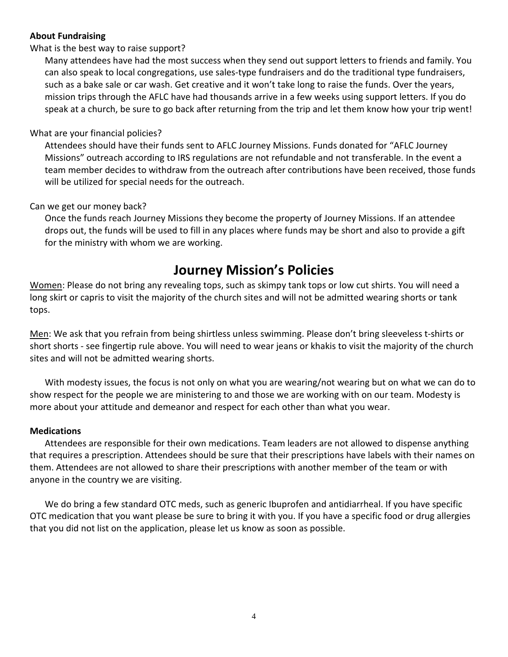### **About Fundraising**

#### What is the best way to raise support?

Many attendees have had the most success when they send out support letters to friends and family. You can also speak to local congregations, use sales-type fundraisers and do the traditional type fundraisers, such as a bake sale or car wash. Get creative and it won't take long to raise the funds. Over the years, mission trips through the AFLC have had thousands arrive in a few weeks using support letters. If you do speak at a church, be sure to go back after returning from the trip and let them know how your trip went!

#### What are your financial policies?

Attendees should have their funds sent to AFLC Journey Missions. Funds donated for "AFLC Journey Missions" outreach according to IRS regulations are not refundable and not transferable. In the event a team member decides to withdraw from the outreach after contributions have been received, those funds will be utilized for special needs for the outreach.

#### Can we get our money back?

Once the funds reach Journey Missions they become the property of Journey Missions. If an attendee drops out, the funds will be used to fill in any places where funds may be short and also to provide a gift for the ministry with whom we are working.

# **Journey Mission's Policies**

Women: Please do not bring any revealing tops, such as skimpy tank tops or low cut shirts. You will need a long skirt or capris to visit the majority of the church sites and will not be admitted wearing shorts or tank tops.

Men: We ask that you refrain from being shirtless unless swimming. Please don't bring sleeveless t-shirts or short shorts - see fingertip rule above. You will need to wear jeans or khakis to visit the majority of the church sites and will not be admitted wearing shorts.

With modesty issues, the focus is not only on what you are wearing/not wearing but on what we can do to show respect for the people we are ministering to and those we are working with on our team. Modesty is more about your attitude and demeanor and respect for each other than what you wear.

### **Medications**

Attendees are responsible for their own medications. Team leaders are not allowed to dispense anything that requires a prescription. Attendees should be sure that their prescriptions have labels with their names on them. Attendees are not allowed to share their prescriptions with another member of the team or with anyone in the country we are visiting.

We do bring a few standard OTC meds, such as generic Ibuprofen and antidiarrheal. If you have specific OTC medication that you want please be sure to bring it with you. If you have a specific food or drug allergies that you did not list on the application, please let us know as soon as possible.